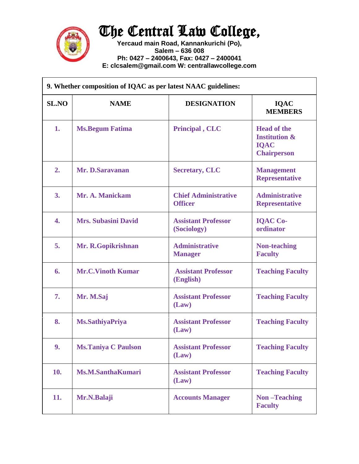

## The Central Law College,

**Yercaud main Road, Kannankurichi (Po), Salem – 636 008 Ph: 0427 – 2400643, Fax: 0427 – 2400041 E: clcsalem@gmail.com W: centrallawcollege.com**

| 9. Whether composition of IQAC as per latest NAAC guidelines: |                            |                                               |                                                                                     |  |
|---------------------------------------------------------------|----------------------------|-----------------------------------------------|-------------------------------------------------------------------------------------|--|
| <b>SL.NO</b>                                                  | <b>NAME</b>                | <b>DESIGNATION</b>                            | <b>IQAC</b><br><b>MEMBERS</b>                                                       |  |
| 1.                                                            | <b>Ms.Begum Fatima</b>     | Principal, CLC                                | <b>Head of the</b><br><b>Institution &amp;</b><br><b>IQAC</b><br><b>Chairperson</b> |  |
| 2.                                                            | Mr. D.Saravanan            | <b>Secretary, CLC</b>                         | <b>Management</b><br><b>Representative</b>                                          |  |
| <b>3.</b>                                                     | Mr. A. Manickam            | <b>Chief Administrative</b><br><b>Officer</b> | <b>Administrative</b><br><b>Representative</b>                                      |  |
| 4.                                                            | <b>Mrs. Subasini David</b> | <b>Assistant Professor</b><br>(Sociology)     | <b>IQAC Co-</b><br>ordinator                                                        |  |
| 5.                                                            | Mr. R. Gopikrishnan        | <b>Administrative</b><br><b>Manager</b>       | <b>Non-teaching</b><br><b>Faculty</b>                                               |  |
| 6.                                                            | <b>Mr.C.Vinoth Kumar</b>   | <b>Assistant Professor</b><br>(English)       | <b>Teaching Faculty</b>                                                             |  |
| 7.                                                            | Mr. M.Saj                  | <b>Assistant Professor</b><br>(Law)           | <b>Teaching Faculty</b>                                                             |  |
| 8.                                                            | <b>Ms.SathiyaPriya</b>     | <b>Assistant Professor</b><br>(Law)           | <b>Teaching Faculty</b>                                                             |  |
| 9.                                                            | <b>Ms.Taniya C Paulson</b> | <b>Assistant Professor</b><br>(Law)           | <b>Teaching Faculty</b>                                                             |  |
| 10.                                                           | <b>Ms.M.SanthaKumari</b>   | <b>Assistant Professor</b><br>(Law)           | <b>Teaching Faculty</b>                                                             |  |
| 11.                                                           | Mr.N.Balaji                | <b>Accounts Manager</b>                       | <b>Non-Teaching</b><br><b>Faculty</b>                                               |  |